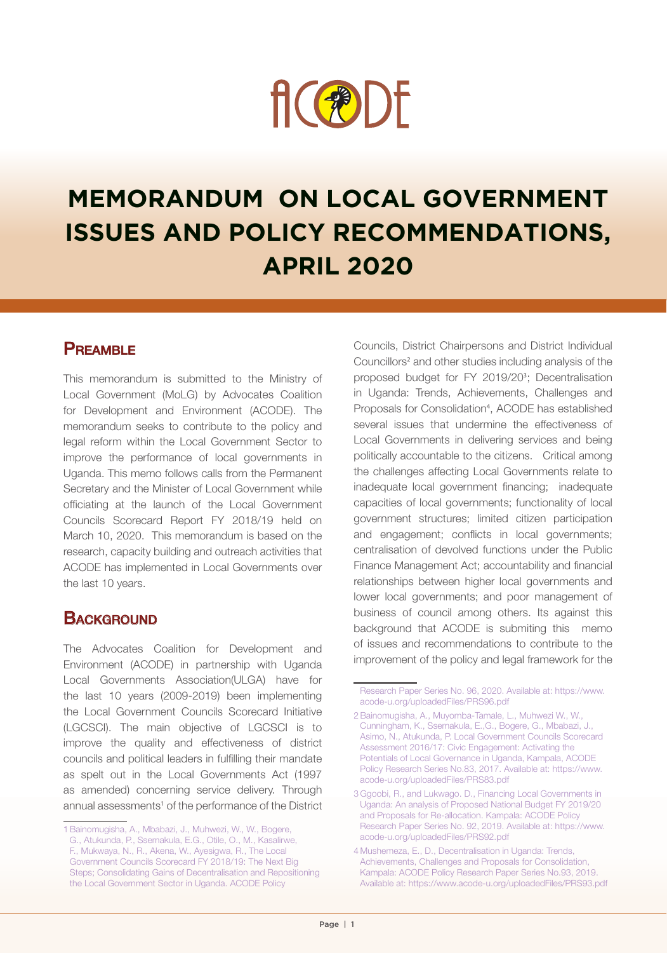

# **MEMORANDUM ON LOCAL GOVERNMENT ISSUES AND POLICY RECOMMENDATIONS, APRIL 2020**

#### **PREAMBLE**

This memorandum is submitted to the Ministry of Local Government (MoLG) by Advocates Coalition for Development and Environment (ACODE). The memorandum seeks to contribute to the policy and legal reform within the Local Government Sector to improve the performance of local governments in Uganda. This memo follows calls from the Permanent Secretary and the Minister of Local Government while officiating at the launch of the Local Government Councils Scorecard Report FY 2018/19 held on March 10, 2020. This memorandum is based on the research, capacity building and outreach activities that ACODE has implemented in Local Governments over the last 10 years.

## **BACKGROUND**

The Advocates Coalition for Development and Environment (ACODE) in partnership with Uganda Local Governments Association(ULGA) have for the last 10 years (2009-2019) been implementing the Local Government Councils Scorecard Initiative (LGCSCI). The main objective of LGCSCI is to improve the quality and effectiveness of district councils and political leaders in fulfilling their mandate as spelt out in the Local Governments Act (1997 as amended) concerning service delivery. Through annual assessments<sup>1</sup> of the performance of the District Councils, District Chairpersons and District Individual Councillors<sup>2</sup> and other studies including analysis of the proposed budget for FY 2019/20<sup>3</sup> ; Decentralisation in Uganda: Trends, Achievements, Challenges and Proposals for Consolidation<sup>4</sup>, ACODE has established several issues that undermine the effectiveness of Local Governments in delivering services and being politically accountable to the citizens. Critical among the challenges affecting Local Governments relate to inadequate local government financing; inadequate capacities of local governments; functionality of local government structures; limited citizen participation and engagement; conflicts in local governments; centralisation of devolved functions under the Public Finance Management Act; accountability and financial relationships between higher local governments and lower local governments; and poor management of business of council among others. Its against this background that ACODE is submiting this memo of issues and recommendations to contribute to the improvement of the policy and legal framework for the

<sup>1</sup>Bainomugisha, A., Mbabazi, J., Muhwezi, W., W., Bogere, G., Atukunda, P., Ssemakula, E.G., Otile, O., M., Kasalirwe, F., Mukwaya, N., R., Akena, W., Ayesigwa, R., The Local Government Councils Scorecard FY 2018/19: The Next Big Steps; Consolidating Gains of Decentralisation and Repositioning the Local Government Sector in Uganda. ACODE Policy

Research Paper Series No. 96, 2020. Available at: https://www. acode-u.org/uploadedFiles/PRS96.pdf

<sup>2</sup>Bainomugisha, A., Muyomba-Tamale, L., Muhwezi W., W., Cunningham, K., Ssemakula, E.,G., Bogere, G., Mbabazi, J., Asimo, N., Atukunda, P. Local Government Councils Scorecard Assessment 2016/17: Civic Engagement: Activating the Potentials of Local Governance in Uganda, Kampala, ACODE Policy Research Series No.83, 2017. Available at: https://www. acode-u.org/uploadedFiles/PRS83.pdf

<sup>3</sup> Ggoobi, R., and Lukwago. D., Financing Local Governments in Uganda: An analysis of Proposed National Budget FY 2019/20 and Proposals for Re-allocation. Kampala: ACODE Policy Research Paper Series No. 92, 2019. Available at: https://www. acode-u.org/uploadedFiles/PRS92.pdf

<sup>4</sup> Mushemeza, E., D., Decentralisation in Uganda: Trends, Achievements, Challenges and Proposals for Consolidation, Kampala: ACODE Policy Research Paper Series No.93, 2019. Available at: https://www.acode-u.org/uploadedFiles/PRS93.pdf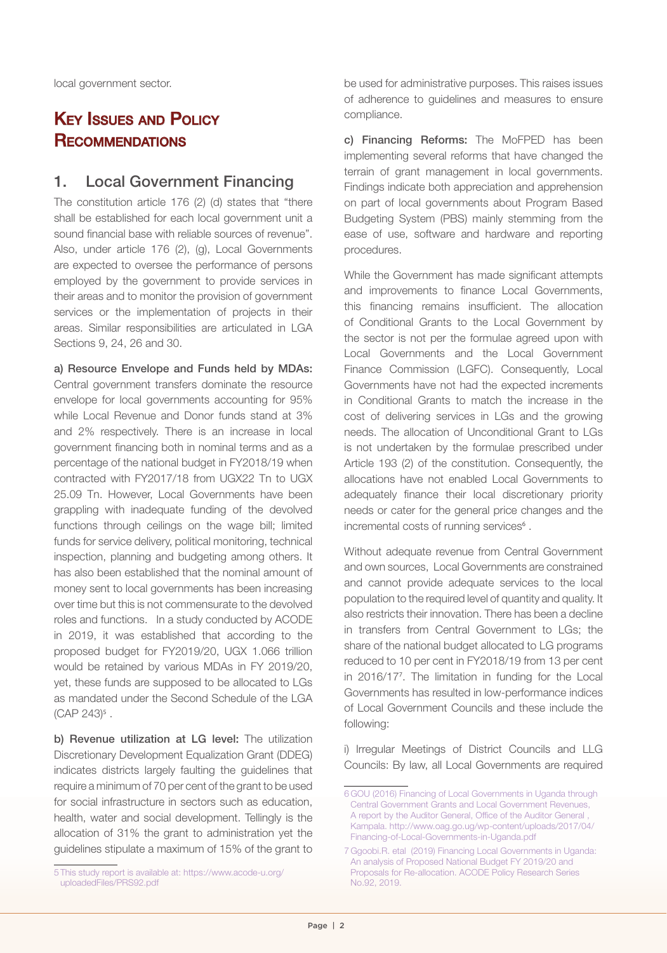local government sector.

## **KEY ISSUES AND POLICY RECOMMENDATIONS**

#### 1. Local Government Financing

The constitution article 176 (2) (d) states that "there shall be established for each local government unit a sound financial base with reliable sources of revenue". Also, under article 176 (2), (g), Local Governments are expected to oversee the performance of persons employed by the government to provide services in their areas and to monitor the provision of government services or the implementation of projects in their areas. Similar responsibilities are articulated in LGA Sections 9, 24, 26 and 30.

a) Resource Envelope and Funds held by MDAs: Central government transfers dominate the resource envelope for local governments accounting for 95% while Local Revenue and Donor funds stand at 3% and 2% respectively. There is an increase in local government financing both in nominal terms and as a percentage of the national budget in FY2018/19 when contracted with FY2017/18 from UGX22 Tn to UGX 25.09 Tn. However, Local Governments have been grappling with inadequate funding of the devolved functions through ceilings on the wage bill; limited funds for service delivery, political monitoring, technical inspection, planning and budgeting among others. It has also been established that the nominal amount of money sent to local governments has been increasing over time but this is not commensurate to the devolved roles and functions. In a study conducted by ACODE in 2019, it was established that according to the proposed budget for FY2019/20, UGX 1.066 trillion would be retained by various MDAs in FY 2019/20, yet, these funds are supposed to be allocated to LGs as mandated under the Second Schedule of the LGA (CAP 243)<sup>5</sup>.

b) Revenue utilization at LG level: The utilization Discretionary Development Equalization Grant (DDEG) indicates districts largely faulting the guidelines that require a minimum of 70 per cent of the grant to be used for social infrastructure in sectors such as education, health, water and social development. Tellingly is the allocation of 31% the grant to administration yet the guidelines stipulate a maximum of 15% of the grant to

be used for administrative purposes. This raises issues of adherence to guidelines and measures to ensure compliance.

c) Financing Reforms: The MoFPED has been implementing several reforms that have changed the terrain of grant management in local governments. Findings indicate both appreciation and apprehension on part of local governments about Program Based Budgeting System (PBS) mainly stemming from the ease of use, software and hardware and reporting procedures.

While the Government has made significant attempts and improvements to finance Local Governments, this financing remains insufficient. The allocation of Conditional Grants to the Local Government by the sector is not per the formulae agreed upon with Local Governments and the Local Government Finance Commission (LGFC). Consequently, Local Governments have not had the expected increments in Conditional Grants to match the increase in the cost of delivering services in LGs and the growing needs. The allocation of Unconditional Grant to LGs is not undertaken by the formulae prescribed under Article 193 (2) of the constitution. Consequently, the allocations have not enabled Local Governments to adequately finance their local discretionary priority needs or cater for the general price changes and the incremental costs of running services<sup>6</sup>.

Without adequate revenue from Central Government and own sources, Local Governments are constrained and cannot provide adequate services to the local population to the required level of quantity and quality. It also restricts their innovation. There has been a decline in transfers from Central Government to LGs; the share of the national budget allocated to LG programs reduced to 10 per cent in FY2018/19 from 13 per cent in 2016/17<sup>7</sup> . The limitation in funding for the Local Governments has resulted in low-performance indices of Local Government Councils and these include the following:

i) Irregular Meetings of District Councils and LLG Councils: By law, all Local Governments are required

<sup>5</sup> This study report is available at: https://www.acode-u.org/ uploadedFiles/PRS92.pdf

<sup>6</sup> GOU (2016) Financing of Local Governments in Uganda through Central Government Grants and Local Government Revenues, A report by the Auditor General, Office of the Auditor General , Kampala. http://www.oag.go.ug/wp-content/uploads/2017/04/ Financing-of-Local-Governments-in-Uganda.pdf

<sup>7</sup> Ggoobi.R. etal (2019) Financing Local Governments in Uganda: An analysis of Proposed National Budget FY 2019/20 and Proposals for Re-allocation. ACODE Policy Research Series No.92, 2019.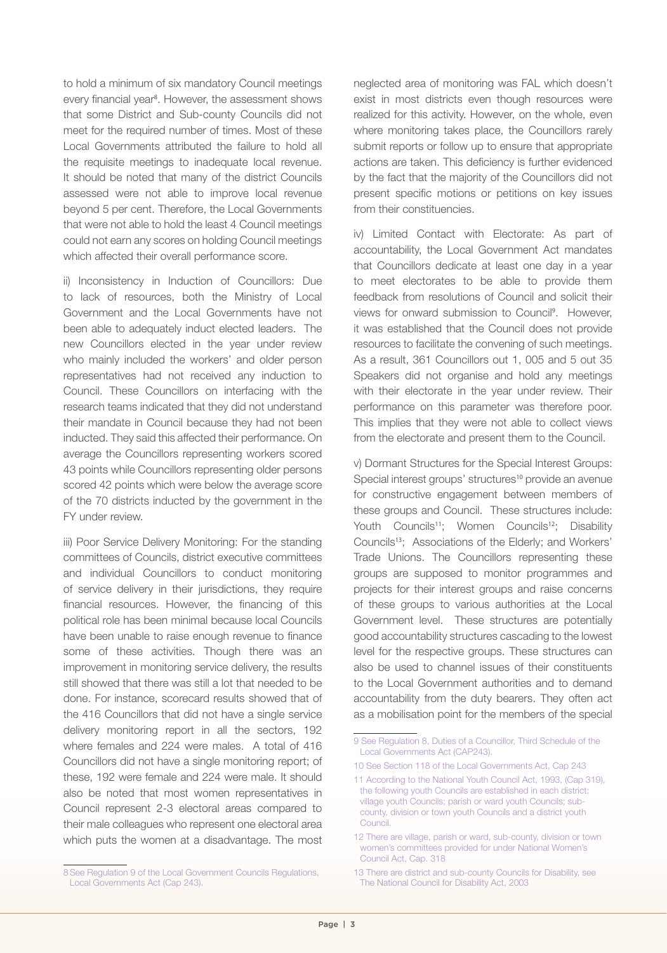to hold a minimum of six mandatory Council meetings every financial year<sup>8</sup>. However, the assessment shows that some District and Sub-county Councils did not meet for the required number of times. Most of these Local Governments attributed the failure to hold all the requisite meetings to inadequate local revenue. It should be noted that many of the district Councils assessed were not able to improve local revenue beyond 5 per cent. Therefore, the Local Governments that were not able to hold the least 4 Council meetings could not earn any scores on holding Council meetings which affected their overall performance score.

ii) Inconsistency in Induction of Councillors: Due to lack of resources, both the Ministry of Local Government and the Local Governments have not been able to adequately induct elected leaders. The new Councillors elected in the year under review who mainly included the workers' and older person representatives had not received any induction to Council. These Councillors on interfacing with the research teams indicated that they did not understand their mandate in Council because they had not been inducted. They said this affected their performance. On average the Councillors representing workers scored 43 points while Councillors representing older persons scored 42 points which were below the average score of the 70 districts inducted by the government in the FY under review.

iii) Poor Service Delivery Monitoring: For the standing committees of Councils, district executive committees and individual Councillors to conduct monitoring of service delivery in their jurisdictions, they require financial resources. However, the financing of this political role has been minimal because local Councils have been unable to raise enough revenue to finance some of these activities. Though there was an improvement in monitoring service delivery, the results still showed that there was still a lot that needed to be done. For instance, scorecard results showed that of the 416 Councillors that did not have a single service delivery monitoring report in all the sectors, 192 where females and 224 were males. A total of 416 Councillors did not have a single monitoring report; of these, 192 were female and 224 were male. It should also be noted that most women representatives in Council represent 2-3 electoral areas compared to their male colleagues who represent one electoral area which puts the women at a disadvantage. The most

8See Regulation 9 of the Local Government Councils Regulations, Local Governments Act (Cap 243).

neglected area of monitoring was FAL which doesn't exist in most districts even though resources were realized for this activity. However, on the whole, even where monitoring takes place, the Councillors rarely submit reports or follow up to ensure that appropriate actions are taken. This deficiency is further evidenced by the fact that the majority of the Councillors did not present specific motions or petitions on key issues from their constituencies.

iv) Limited Contact with Electorate: As part of accountability, the Local Government Act mandates that Councillors dedicate at least one day in a year to meet electorates to be able to provide them feedback from resolutions of Council and solicit their views for onward submission to Council<sup>9</sup>. However, it was established that the Council does not provide resources to facilitate the convening of such meetings. As a result, 361 Councillors out 1, 005 and 5 out 35 Speakers did not organise and hold any meetings with their electorate in the year under review. Their performance on this parameter was therefore poor. This implies that they were not able to collect views from the electorate and present them to the Council.

v) Dormant Structures for the Special Interest Groups: Special interest groups' structures<sup>10</sup> provide an avenue for constructive engagement between members of these groups and Council. These structures include: Youth Councils<sup>11</sup>; Women Councils<sup>12</sup>; Disability Councils13; Associations of the Elderly; and Workers' Trade Unions. The Councillors representing these groups are supposed to monitor programmes and projects for their interest groups and raise concerns of these groups to various authorities at the Local Government level. These structures are potentially good accountability structures cascading to the lowest level for the respective groups. These structures can also be used to channel issues of their constituents to the Local Government authorities and to demand accountability from the duty bearers. They often act as a mobilisation point for the members of the special

- 10 See Section 118 of the Local Governments Act, Cap 243
- 11 According to the National Youth Council Act, 1993, (Cap 319), the following youth Councils are established in each district: village youth Councils; parish or ward youth Councils; subcounty, division or town youth Councils and a district youth Council.

<sup>9</sup> See Regulation 8, Duties of a Councillor, Third Schedule of the Local Governments Act (CAP243).

<sup>12</sup> There are village, parish or ward, sub-county, division or town women's committees provided for under National Women's Council Act, Cap. 318

<sup>13</sup> There are district and sub-county Councils for Disability, see The National Council for Disability Act, 2003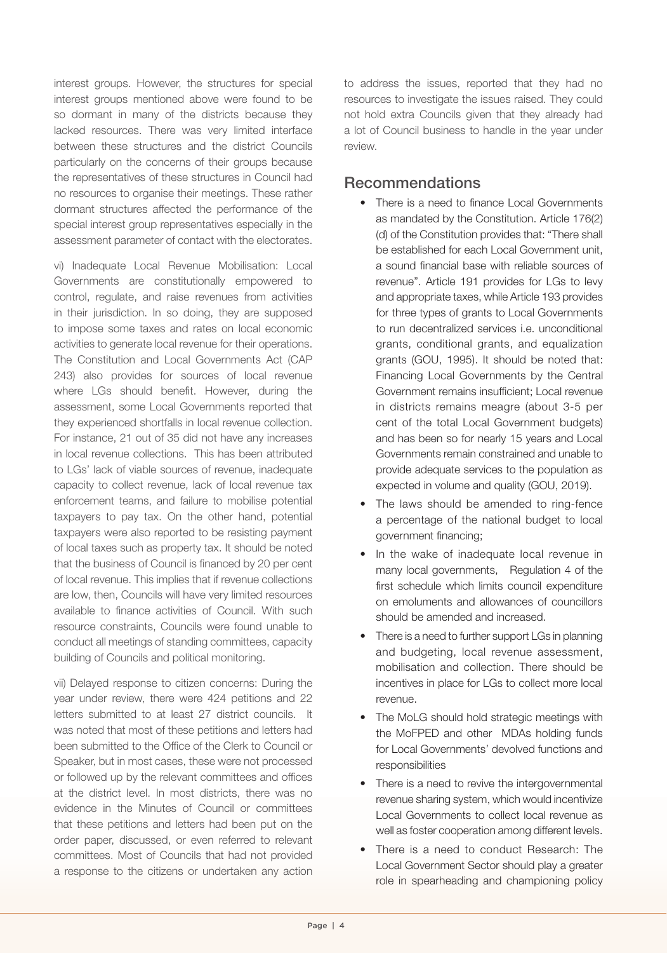interest groups. However, the structures for special interest groups mentioned above were found to be so dormant in many of the districts because they lacked resources. There was very limited interface between these structures and the district Councils particularly on the concerns of their groups because the representatives of these structures in Council had no resources to organise their meetings. These rather dormant structures affected the performance of the special interest group representatives especially in the assessment parameter of contact with the electorates.

vi) Inadequate Local Revenue Mobilisation: Local Governments are constitutionally empowered to control, regulate, and raise revenues from activities in their jurisdiction. In so doing, they are supposed to impose some taxes and rates on local economic activities to generate local revenue for their operations. The Constitution and Local Governments Act (CAP 243) also provides for sources of local revenue where LGs should benefit. However, during the assessment, some Local Governments reported that they experienced shortfalls in local revenue collection. For instance, 21 out of 35 did not have any increases in local revenue collections. This has been attributed to LGs' lack of viable sources of revenue, inadequate capacity to collect revenue, lack of local revenue tax enforcement teams, and failure to mobilise potential taxpayers to pay tax. On the other hand, potential taxpayers were also reported to be resisting payment of local taxes such as property tax. It should be noted that the business of Council is financed by 20 per cent of local revenue. This implies that if revenue collections are low, then, Councils will have very limited resources available to finance activities of Council. With such resource constraints, Councils were found unable to conduct all meetings of standing committees, capacity building of Councils and political monitoring.

vii) Delayed response to citizen concerns: During the year under review, there were 424 petitions and 22 letters submitted to at least 27 district councils. It was noted that most of these petitions and letters had been submitted to the Office of the Clerk to Council or Speaker, but in most cases, these were not processed or followed up by the relevant committees and offices at the district level. In most districts, there was no evidence in the Minutes of Council or committees that these petitions and letters had been put on the order paper, discussed, or even referred to relevant committees. Most of Councils that had not provided a response to the citizens or undertaken any action

to address the issues, reported that they had no resources to investigate the issues raised. They could not hold extra Councils given that they already had a lot of Council business to handle in the year under review.

#### Recommendations

- There is a need to finance Local Governments as mandated by the Constitution. Article 176(2) (d) of the Constitution provides that: "There shall be established for each Local Government unit, a sound financial base with reliable sources of revenue". Article 191 provides for LGs to levy and appropriate taxes, while Article 193 provides for three types of grants to Local Governments to run decentralized services i.e. unconditional grants, conditional grants, and equalization grants (GOU, 1995). It should be noted that: Financing Local Governments by the Central Government remains insufficient; Local revenue in districts remains meagre (about 3-5 per cent of the total Local Government budgets) and has been so for nearly 15 years and Local Governments remain constrained and unable to provide adequate services to the population as expected in volume and quality (GOU, 2019).
- The laws should be amended to ring-fence a percentage of the national budget to local government financing;
- In the wake of inadequate local revenue in many local governments, Regulation 4 of the first schedule which limits council expenditure on emoluments and allowances of councillors should be amended and increased.
- There is a need to further support LGs in planning and budgeting, local revenue assessment, mobilisation and collection. There should be incentives in place for LGs to collect more local revenue.
- The MoLG should hold strategic meetings with the MoFPED and other MDAs holding funds for Local Governments' devolved functions and responsibilities
- There is a need to revive the intergovernmental revenue sharing system, which would incentivize Local Governments to collect local revenue as well as foster cooperation among different levels.
- There is a need to conduct Research: The Local Government Sector should play a greater role in spearheading and championing policy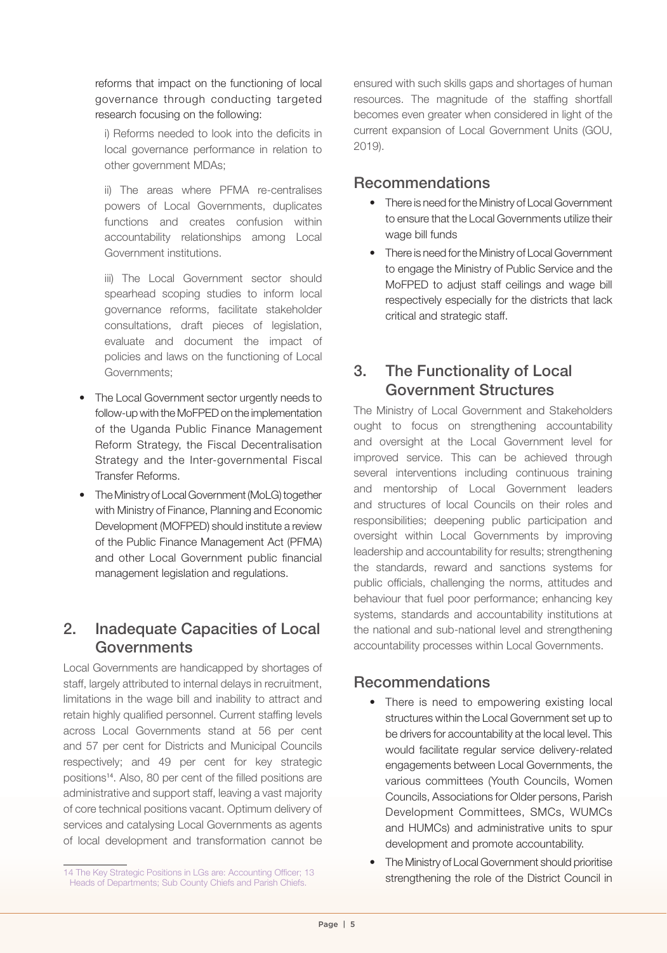reforms that impact on the functioning of local governance through conducting targeted research focusing on the following:

i) Reforms needed to look into the deficits in local governance performance in relation to other government MDAs;

ii) The areas where PFMA re-centralises powers of Local Governments, duplicates functions and creates confusion within accountability relationships among Local Government institutions.

iii) The Local Government sector should spearhead scoping studies to inform local governance reforms, facilitate stakeholder consultations, draft pieces of legislation, evaluate and document the impact of policies and laws on the functioning of Local Governments;

- The Local Government sector urgently needs to follow-up with the MoFPED on the implementation of the Uganda Public Finance Management Reform Strategy, the Fiscal Decentralisation Strategy and the Inter-governmental Fiscal Transfer Reforms.
- The Ministry of Local Government (MoLG) together with Ministry of Finance, Planning and Economic Development (MOFPED) should institute a review of the Public Finance Management Act (PFMA) and other Local Government public financial management legislation and regulations.

## 2. Inadequate Capacities of Local Governments

Local Governments are handicapped by shortages of staff, largely attributed to internal delays in recruitment, limitations in the wage bill and inability to attract and retain highly qualified personnel. Current staffing levels across Local Governments stand at 56 per cent and 57 per cent for Districts and Municipal Councils respectively; and 49 per cent for key strategic positions<sup>14</sup>. Also, 80 per cent of the filled positions are administrative and support staff, leaving a vast majority of core technical positions vacant. Optimum delivery of services and catalysing Local Governments as agents of local development and transformation cannot be ensured with such skills gaps and shortages of human resources. The magnitude of the staffing shortfall becomes even greater when considered in light of the current expansion of Local Government Units (GOU, 2019).

#### Recommendations

- There is need for the Ministry of Local Government to ensure that the Local Governments utilize their wage bill funds
- There is need for the Ministry of Local Government to engage the Ministry of Public Service and the MoFPED to adjust staff ceilings and wage bill respectively especially for the districts that lack critical and strategic staff.

## 3. The Functionality of Local Government Structures

The Ministry of Local Government and Stakeholders ought to focus on strengthening accountability and oversight at the Local Government level for improved service. This can be achieved through several interventions including continuous training and mentorship of Local Government leaders and structures of local Councils on their roles and responsibilities; deepening public participation and oversight within Local Governments by improving leadership and accountability for results; strengthening the standards, reward and sanctions systems for public officials, challenging the norms, attitudes and behaviour that fuel poor performance; enhancing key systems, standards and accountability institutions at the national and sub-national level and strengthening accountability processes within Local Governments.

## Recommendations

- There is need to empowering existing local structures within the Local Government set up to be drivers for accountability at the local level. This would facilitate regular service delivery-related engagements between Local Governments, the various committees (Youth Councils, Women Councils, Associations for Older persons, Parish Development Committees, SMCs, WUMCs and HUMCs) and administrative units to spur development and promote accountability.
- The Ministry of Local Government should prioritise strengthening the role of the District Council in

<sup>14</sup> The Key Strategic Positions in LGs are: Accounting Officer; 13 Heads of Departments; Sub County Chiefs and Parish Chiefs.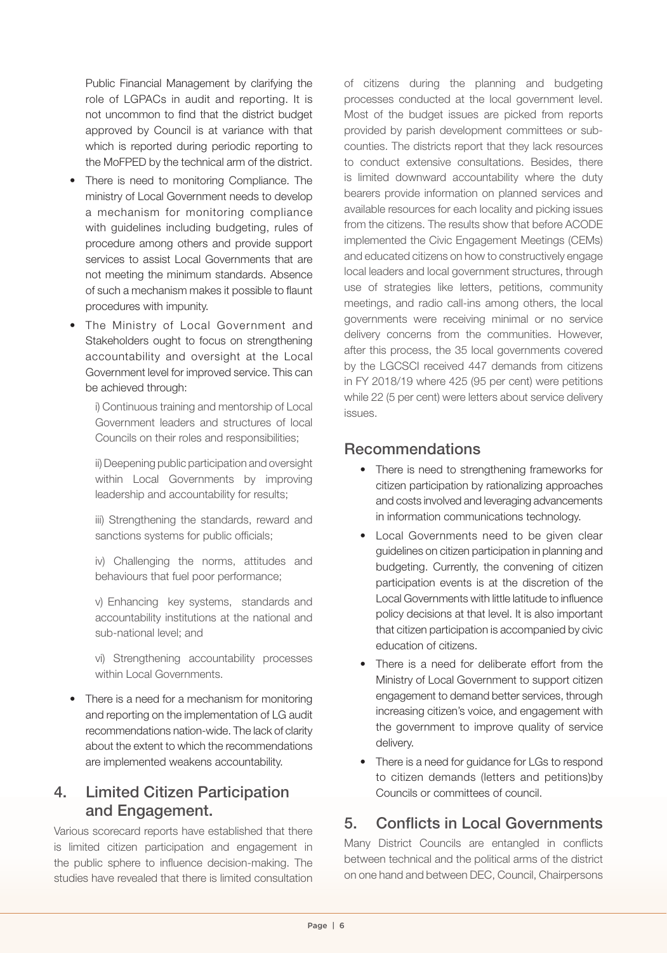Public Financial Management by clarifying the role of LGPACs in audit and reporting. It is not uncommon to find that the district budget approved by Council is at variance with that which is reported during periodic reporting to the MoFPED by the technical arm of the district.

- There is need to monitoring Compliance. The ministry of Local Government needs to develop a mechanism for monitoring compliance with guidelines including budgeting, rules of procedure among others and provide support services to assist Local Governments that are not meeting the minimum standards. Absence of such a mechanism makes it possible to flaunt procedures with impunity.
- The Ministry of Local Government and Stakeholders ought to focus on strengthening accountability and oversight at the Local Government level for improved service. This can be achieved through:

i) Continuous training and mentorship of Local Government leaders and structures of local Councils on their roles and responsibilities;

ii) Deepening public participation and oversight within Local Governments by improving leadership and accountability for results;

iii) Strengthening the standards, reward and sanctions systems for public officials;

iv) Challenging the norms, attitudes and behaviours that fuel poor performance;

v) Enhancing key systems, standards and accountability institutions at the national and sub-national level; and

vi) Strengthening accountability processes within Local Governments.

• There is a need for a mechanism for monitoring and reporting on the implementation of LG audit recommendations nation-wide. The lack of clarity about the extent to which the recommendations are implemented weakens accountability.

#### 4. Limited Citizen Participation and Engagement.

Various scorecard reports have established that there is limited citizen participation and engagement in the public sphere to influence decision-making. The studies have revealed that there is limited consultation

of citizens during the planning and budgeting processes conducted at the local government level. Most of the budget issues are picked from reports provided by parish development committees or subcounties. The districts report that they lack resources to conduct extensive consultations. Besides, there is limited downward accountability where the duty bearers provide information on planned services and available resources for each locality and picking issues from the citizens. The results show that before ACODE implemented the Civic Engagement Meetings (CEMs) and educated citizens on how to constructively engage local leaders and local government structures, through use of strategies like letters, petitions, community meetings, and radio call-ins among others, the local governments were receiving minimal or no service delivery concerns from the communities. However, after this process, the 35 local governments covered by the LGCSCI received 447 demands from citizens in FY 2018/19 where 425 (95 per cent) were petitions while 22 (5 per cent) were letters about service delivery issues.

#### Recommendations

- There is need to strengthening frameworks for citizen participation by rationalizing approaches and costs involved and leveraging advancements in information communications technology.
- Local Governments need to be given clear guidelines on citizen participation in planning and budgeting. Currently, the convening of citizen participation events is at the discretion of the Local Governments with little latitude to influence policy decisions at that level. It is also important that citizen participation is accompanied by civic education of citizens.
- There is a need for deliberate effort from the Ministry of Local Government to support citizen engagement to demand better services, through increasing citizen's voice, and engagement with the government to improve quality of service delivery.
- There is a need for guidance for LGs to respond to citizen demands (letters and petitions)by Councils or committees of council.

## 5. Conflicts in Local Governments

Many District Councils are entangled in conflicts between technical and the political arms of the district on one hand and between DEC, Council, Chairpersons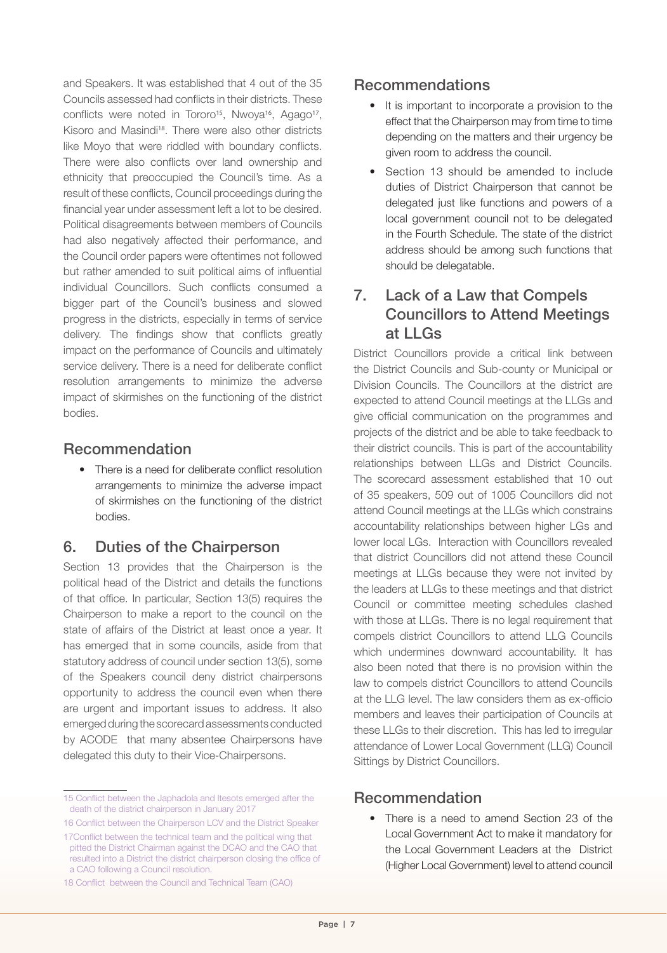and Speakers. It was established that 4 out of the 35 Councils assessed had conflicts in their districts. These conflicts were noted in Tororo<sup>15</sup>, Nwoya<sup>16</sup>, Agago<sup>17</sup>, Kisoro and Masindi18. There were also other districts like Moyo that were riddled with boundary conflicts. There were also conflicts over land ownership and ethnicity that preoccupied the Council's time. As a result of these conflicts, Council proceedings during the financial year under assessment left a lot to be desired. Political disagreements between members of Councils had also negatively affected their performance, and the Council order papers were oftentimes not followed but rather amended to suit political aims of influential individual Councillors. Such conflicts consumed a bigger part of the Council's business and slowed progress in the districts, especially in terms of service delivery. The findings show that conflicts greatly impact on the performance of Councils and ultimately service delivery. There is a need for deliberate conflict resolution arrangements to minimize the adverse impact of skirmishes on the functioning of the district bodies.

#### Recommendation

• There is a need for deliberate conflict resolution arrangements to minimize the adverse impact of skirmishes on the functioning of the district bodies.

#### 6. Duties of the Chairperson

Section 13 provides that the Chairperson is the political head of the District and details the functions of that office. In particular, Section 13(5) requires the Chairperson to make a report to the council on the state of affairs of the District at least once a year. It has emerged that in some councils, aside from that statutory address of council under section 13(5), some of the Speakers council deny district chairpersons opportunity to address the council even when there are urgent and important issues to address. It also emerged during the scorecard assessments conducted by ACODE that many absentee Chairpersons have delegated this duty to their Vice-Chairpersons.

#### Recommendations

- It is important to incorporate a provision to the effect that the Chairperson may from time to time depending on the matters and their urgency be given room to address the council.
- Section 13 should be amended to include duties of District Chairperson that cannot be delegated just like functions and powers of a local government council not to be delegated in the Fourth Schedule. The state of the district address should be among such functions that should be delegatable.

## 7. Lack of a Law that Compels Councillors to Attend Meetings at LLGs

District Councillors provide a critical link between the District Councils and Sub-county or Municipal or Division Councils. The Councillors at the district are expected to attend Council meetings at the LLGs and give official communication on the programmes and projects of the district and be able to take feedback to their district councils. This is part of the accountability relationships between LLGs and District Councils. The scorecard assessment established that 10 out of 35 speakers, 509 out of 1005 Councillors did not attend Council meetings at the LLGs which constrains accountability relationships between higher LGs and lower local LGs. Interaction with Councillors revealed that district Councillors did not attend these Council meetings at LLGs because they were not invited by the leaders at LLGs to these meetings and that district Council or committee meeting schedules clashed with those at LLGs. There is no legal requirement that compels district Councillors to attend LLG Councils which undermines downward accountability. It has also been noted that there is no provision within the law to compels district Councillors to attend Councils at the LLG level. The law considers them as ex-officio members and leaves their participation of Councils at these LLGs to their discretion. This has led to irregular attendance of Lower Local Government (LLG) Council Sittings by District Councillors.

#### Recommendation

• There is a need to amend Section 23 of the Local Government Act to make it mandatory for the Local Government Leaders at the District (Higher Local Government) level to attend council

<sup>15</sup> Conflict between the Japhadola and Itesots emerged after the death of the district chairperson in January 2017

<sup>16</sup> Conflict between the Chairperson LCV and the District Speaker

<sup>17</sup>Conflict between the technical team and the political wing that pitted the District Chairman against the DCAO and the CAO that resulted into a District the district chairperson closing the office of a CAO following a Council resolution.

<sup>18</sup> Conflict between the Council and Technical Team (CAO)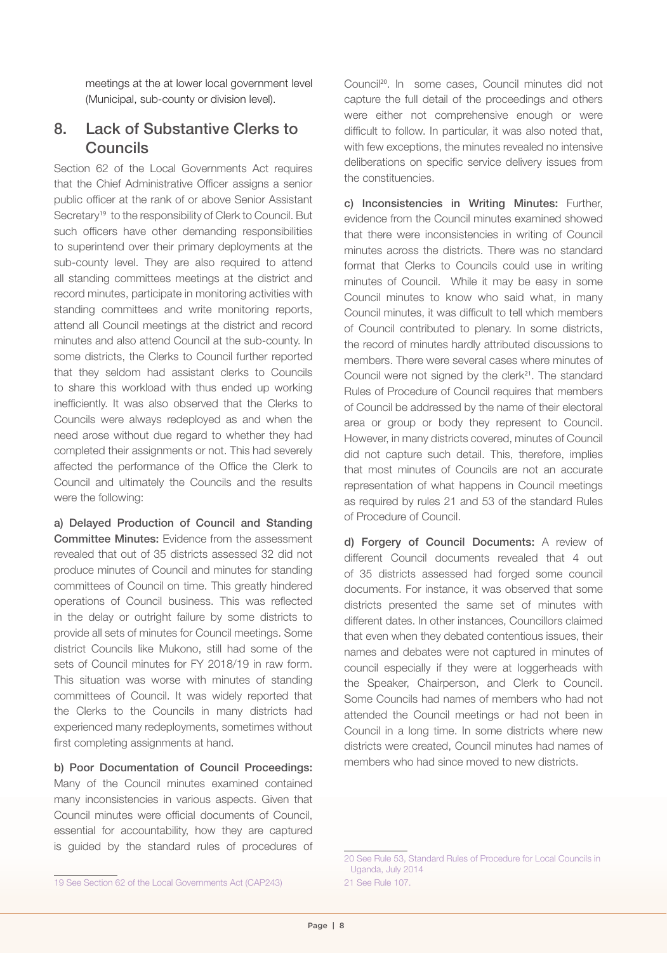meetings at the at lower local government level (Municipal, sub-county or division level).

## 8. Lack of Substantive Clerks to Councils

Section 62 of the Local Governments Act requires that the Chief Administrative Officer assigns a senior public officer at the rank of or above Senior Assistant Secretary<sup>19</sup> to the responsibility of Clerk to Council. But such officers have other demanding responsibilities to superintend over their primary deployments at the sub-county level. They are also required to attend all standing committees meetings at the district and record minutes, participate in monitoring activities with standing committees and write monitoring reports, attend all Council meetings at the district and record minutes and also attend Council at the sub-county. In some districts, the Clerks to Council further reported that they seldom had assistant clerks to Councils to share this workload with thus ended up working inefficiently. It was also observed that the Clerks to Councils were always redeployed as and when the need arose without due regard to whether they had completed their assignments or not. This had severely affected the performance of the Office the Clerk to Council and ultimately the Councils and the results were the following:

a) Delayed Production of Council and Standing Committee Minutes: Evidence from the assessment revealed that out of 35 districts assessed 32 did not produce minutes of Council and minutes for standing committees of Council on time. This greatly hindered operations of Council business. This was reflected in the delay or outright failure by some districts to provide all sets of minutes for Council meetings. Some district Councils like Mukono, still had some of the sets of Council minutes for FY 2018/19 in raw form. This situation was worse with minutes of standing committees of Council. It was widely reported that the Clerks to the Councils in many districts had experienced many redeployments, sometimes without first completing assignments at hand.

b) Poor Documentation of Council Proceedings: Many of the Council minutes examined contained many inconsistencies in various aspects. Given that Council minutes were official documents of Council, essential for accountability, how they are captured is guided by the standard rules of procedures of

Council20. In some cases, Council minutes did not capture the full detail of the proceedings and others were either not comprehensive enough or were difficult to follow. In particular, it was also noted that, with few exceptions, the minutes revealed no intensive deliberations on specific service delivery issues from the constituencies.

c) Inconsistencies in Writing Minutes: Further, evidence from the Council minutes examined showed that there were inconsistencies in writing of Council minutes across the districts. There was no standard format that Clerks to Councils could use in writing minutes of Council. While it may be easy in some Council minutes to know who said what, in many Council minutes, it was difficult to tell which members of Council contributed to plenary. In some districts, the record of minutes hardly attributed discussions to members. There were several cases where minutes of Council were not signed by the clerk<sup>21</sup>. The standard Rules of Procedure of Council requires that members of Council be addressed by the name of their electoral area or group or body they represent to Council. However, in many districts covered, minutes of Council did not capture such detail. This, therefore, implies that most minutes of Councils are not an accurate representation of what happens in Council meetings as required by rules 21 and 53 of the standard Rules of Procedure of Council.

d) Forgery of Council Documents: A review of different Council documents revealed that 4 out of 35 districts assessed had forged some council documents. For instance, it was observed that some districts presented the same set of minutes with different dates. In other instances, Councillors claimed that even when they debated contentious issues, their names and debates were not captured in minutes of council especially if they were at loggerheads with the Speaker, Chairperson, and Clerk to Council. Some Councils had names of members who had not attended the Council meetings or had not been in Council in a long time. In some districts where new districts were created, Council minutes had names of members who had since moved to new districts.

<sup>20</sup> See Rule 53, Standard Rules of Procedure for Local Councils in Uganda, July 2014

<sup>21</sup> See Rule 107.

<sup>19</sup> See Section 62 of the Local Governments Act (CAP243)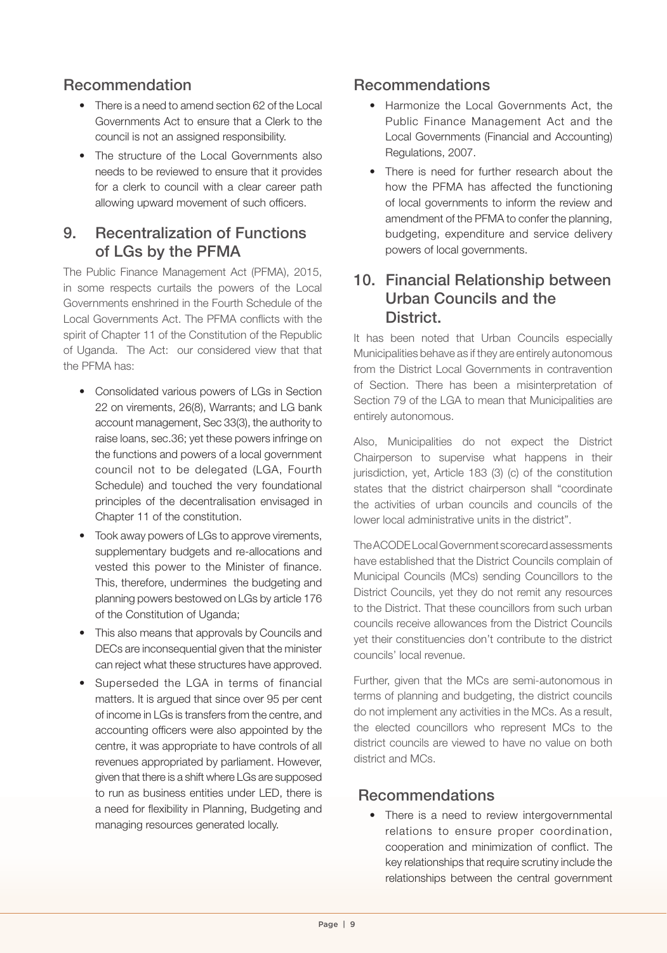#### Recommendation

- There is a need to amend section 62 of the Local Governments Act to ensure that a Clerk to the council is not an assigned responsibility.
- The structure of the Local Governments also needs to be reviewed to ensure that it provides for a clerk to council with a clear career path allowing upward movement of such officers.

#### 9. Recentralization of Functions of LGs by the PFMA

The Public Finance Management Act (PFMA), 2015, in some respects curtails the powers of the Local Governments enshrined in the Fourth Schedule of the Local Governments Act. The PFMA conflicts with the spirit of Chapter 11 of the Constitution of the Republic of Uganda. The Act: our considered view that that the PFMA has:

- Consolidated various powers of LGs in Section 22 on virements, 26(8), Warrants; and LG bank account management, Sec 33(3), the authority to raise loans, sec.36; yet these powers infringe on the functions and powers of a local government council not to be delegated (LGA, Fourth Schedule) and touched the very foundational principles of the decentralisation envisaged in Chapter 11 of the constitution.
- Took away powers of LGs to approve virements, supplementary budgets and re-allocations and vested this power to the Minister of finance. This, therefore, undermines the budgeting and planning powers bestowed on LGs by article 176 of the Constitution of Uganda;
- This also means that approvals by Councils and DECs are inconsequential given that the minister can reject what these structures have approved.
- Superseded the LGA in terms of financial matters. It is argued that since over 95 per cent of income in LGs is transfers from the centre, and accounting officers were also appointed by the centre, it was appropriate to have controls of all revenues appropriated by parliament. However, given that there is a shift where LGs are supposed to run as business entities under LED, there is a need for flexibility in Planning, Budgeting and managing resources generated locally.

#### Recommendations

- Harmonize the Local Governments Act, the Public Finance Management Act and the Local Governments (Financial and Accounting) Regulations, 2007.
- There is need for further research about the how the PFMA has affected the functioning of local governments to inform the review and amendment of the PFMA to confer the planning, budgeting, expenditure and service delivery powers of local governments.

#### 10. Financial Relationship between Urban Councils and the **District.**

It has been noted that Urban Councils especially Municipalities behave as if they are entirely autonomous from the District Local Governments in contravention of Section. There has been a misinterpretation of Section 79 of the LGA to mean that Municipalities are entirely autonomous.

Also, Municipalities do not expect the District Chairperson to supervise what happens in their jurisdiction, yet, Article 183 (3) (c) of the constitution states that the district chairperson shall "coordinate the activities of urban councils and councils of the lower local administrative units in the district".

The ACODE Local Government scorecard assessments have established that the District Councils complain of Municipal Councils (MCs) sending Councillors to the District Councils, yet they do not remit any resources to the District. That these councillors from such urban councils receive allowances from the District Councils yet their constituencies don't contribute to the district councils' local revenue.

Further, given that the MCs are semi-autonomous in terms of planning and budgeting, the district councils do not implement any activities in the MCs. As a result, the elected councillors who represent MCs to the district councils are viewed to have no value on both district and MCs.

#### Recommendations

• There is a need to review intergovernmental relations to ensure proper coordination, cooperation and minimization of conflict. The key relationships that require scrutiny include the relationships between the central government